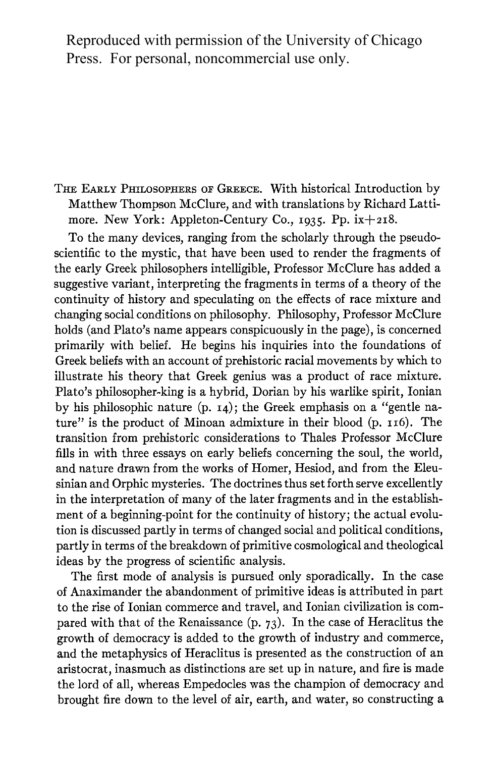Reproduced with permission of the University of Chicago Press. For personal, noncommercial use only.

**THE EARLY PHILOSOPHERS OF GREECE. With historical Introduction by Matthew Thompson McClure, and with translations by Richard Lattimore. New York: Appleton-Century Co., I935. Pp. iX+2i8.** 

**To the many devices, ranging from the scholarly through the pseudoscientific to the mystic, that have been used to render the fragments of the early Greek philosophers intelligible, Professor McClure has added a suggestive variant, interpreting the fragments in terms of a theory of the continuity of history and speculating on the effects of race mixture and changing social conditions on philosophy. Philosophy, Professor McClure holds (and Plato's name appears conspicuously in the page), is concerned primarily with belief. He begins his inquiries into the foundations of Greek beliefs with an account of prehistoric racial movements by which to illustrate his theory that Greek genius was a product of race mixture. Plato's philosopher-king is a hybrid, Dorian by his warlike spirit, Ionian**  by his philosophic nature (p. **14**); the Greek emphasis on a "gentle nature" is the product of Minoan admixture in their blood (p. 116). The **transition from prehistoric considerations to Thales Professor McClure fills in with three essays on early beliefs concerning the soul, the world, and nature drawn from the works of Homer, Hesiod, and from the Eleusinian and Orphic mysteries. The doctrines thus set forth serve excellently in the interpretation of many of the later fragments and in the establishment of a beginning-point for the continuity of history; the actual evolution is discussed partly in terms of changed social and political conditions, partly in terms of the breakdown of primitive cosmological and theological ideas by the progress of scientific analysis.** 

**The first mode of analysis is pursued only sporadically. In the case of Anaximander the abandonment of primitive ideas is attributed in part to the rise of Ionian commerce and travel, and Ionian civilization is compared with that of the Renaissance (p. 73). In the case of Heraclitus the growth of democracy is added to the growth of industry and commerce, and the metaphysics of Heraclitus is presented as the construction of an aristocrat, inasmuch as distinctions are set up in nature, and fire is made the lord of all, whereas Empedocles was the champion of democracy and brought fire down to the level of air, earth, and water, so constructing a**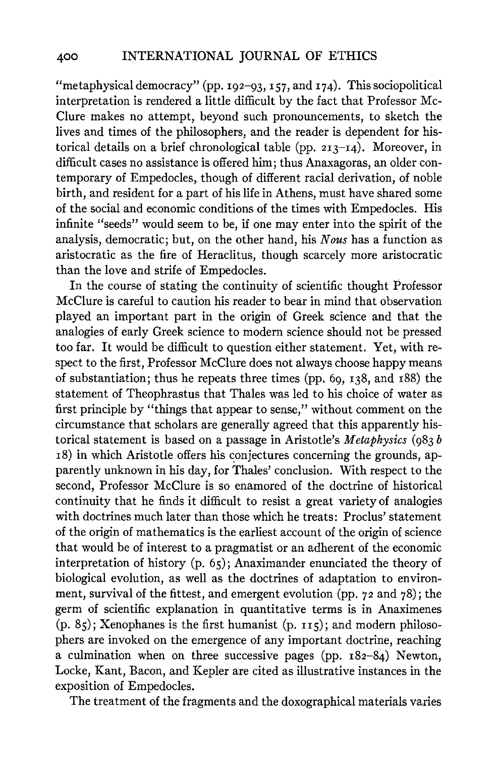**"metaphysical democracy" (pp. I92-93, I57, and I74). This sociopolitical interpretation is rendered a little difficult by the fact that Professor Mc-Clure makes no attempt, beyond such pronouncements, to sketch the lives and times of the philosophers, and the reader is dependent for historical details on a brief chronological table (pp. 2I3-I4). Moreover, in difficult cases no assistance is offered him; thus Anaxagoras, an older con**temporary of Empedocles, though of different racial derivation, of noble **birth, and resident for a part of his life in Athens, must have shared some of the social and economic conditions of the times with Empedocles. His infinite "seeds" would seem to be, if one may enter into the spirit of the analysis, democratic; but, on the other hand, his Nous has a function as aristocratic as the fire of Heraclitus, though scarcely more aristocratic than the love and strife of Empedocles.** 

**In the course of stating the continuity of scientific thought Professor McClure is careful to caution his reader to bear in mind that observation played an important part in the origin of Greek science and that the analogies of early Greek science to modern science should not be pressed too far. It would be difficult to question either statement. Yet, with respect to the first, Professor McClure does not always choose happy means of substantiation; thus he repeats three times (pp. 69, I38, and i88) the statement of Theophrastus that Thales was led to his choice of water as first principle by "things that appear to sense," without comment on the circumstance that scholars are generally agreed that this apparently historical statement is based on a passage in Aristotle's Metaphysics (983 b i8) in which Aristotle offers his conjectures concerning the grounds, apparently unknown in his day, for Thales' conclusion. With respect to the second, Professor McClure is so enamored of the doctrine of historical continuity that he finds it difficult to resist a great variety of analogies with doctrines much later than those which he treats: Proclus' statement of the origin of mathematics is the earliest account of the origin of science that would be of interest to a pragmatist or an adherent of the economic interpretation of history (p. 65); Anaximander enunciated the theory of biological evolution, as well as the doctrines of adaptation to environment, survival of the fittest, and emergent evolution (pp. 72 and 78); the germ of scientific explanation in quantitative terms is in Anaximenes (p. 85); Xenophanes is the first humanist (p. II5); and modern philosophers are invoked on the emergence of any important doctrine, reaching a culmination when on three successive pages (pp. i82-84) Newton, Locke, Kant, Bacon, and Kepler are cited as illustrative instances in the exposition of Empedocles.** 

**The treatment of the fragments and the doxographical materials varies**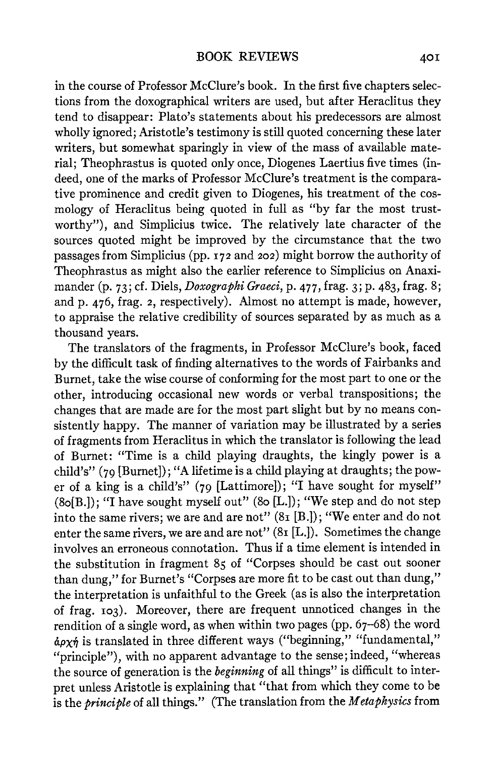**in the course of Professor McClure's book. In the first five chapters selections from the doxographical writers are used, but after Heraclitus they tend to disappear: Plato's statements about his predecessors are almost wholly ignored; Aristotle's testimony is still quoted concerning these later writers, but somewhat sparingly in view of the mass of available material; Theophrastus is quoted only once, Diogenes Laertius five times (indeed, one of the marks of Professor McClure's treatment is the comparative prominence and credit given to Diogenes, his treatment of the cosmology of Heraclitus being quoted in full as "by far the most trustworthy"), and Simplicius twice. The relatively late character of the sources quoted might be improved by the circumstance that the two passages from Simplicius (pp. I72 and 202) might borrow the authority of Theophrastus as might also the earlier reference to Simplicius on Anaximander (p. 73; cf. Diels, Doxographi Graeci, p. 477, frag. 3; p. 483, frag. 8; and p. 476, frag. 2, respectively). Almost no attempt is made, however, to appraise the relative credibility of sources separated by as much as a thousand years.** 

**The translators of the fragments, in Professor McClure's book, faced by the difficult task of finding alternatives to the words of Fairbanks and Burnet, take the wise course of conforming for the most part to one or the other, introducing occasional new words or verbal transpositions; the changes that are made are for the most part slight but by no means consistently happy. The manner of variation may be illustrated by a series of fragments from Heraclitus in which the translator is following the lead of Burnet: "Time is a child playing draughts, the kingly power is a child's" (79 [Burnet]); "A lifetime is a child playing at draughts; the power of a king is a child's" (79 [Lattimore]); "I have sought for myself" (8o[B.]); "I have sought myself out" (8o [L.]); "We step and do not step into the same rivers; we are and are not" (8i [B.]); "We enter and do not enter the same rivers, we are and are not" (8i [L.]). Sometimes the change involves an erroneous connotation. Thus if a time element is intended in the substitution in fragment 85 of "Corpses should be cast out sooner than dung," for Burnet's "Corpses are more fit to be cast out than dung," the interpretation is unfaithful to the Greek (as is also the interpretation of frag. I03). Moreover, there are frequent unnoticed changes in the rendition of a single word, as when within two pages (pp. 67-68) the word apa77 is translated in three different ways ("beginning," "fundamental," "principle"), with no apparent advantage to the sense; indeed, "whereas the source of generation is the beginning of all things" is difficult to interpret unless Aristotle is explaining that "that from which they come to be is the principle of all things." (The translation from the Metaphysics from**